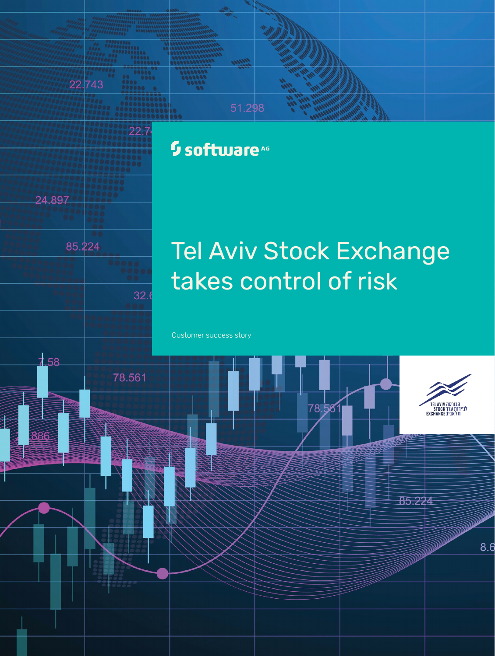## <sup>5</sup> software<sup>46</sup>

51.298



24.897

22.743

22.7

 $32.$ 

# Tel Aviv Stock Exchange takes control of risk

Customer success story

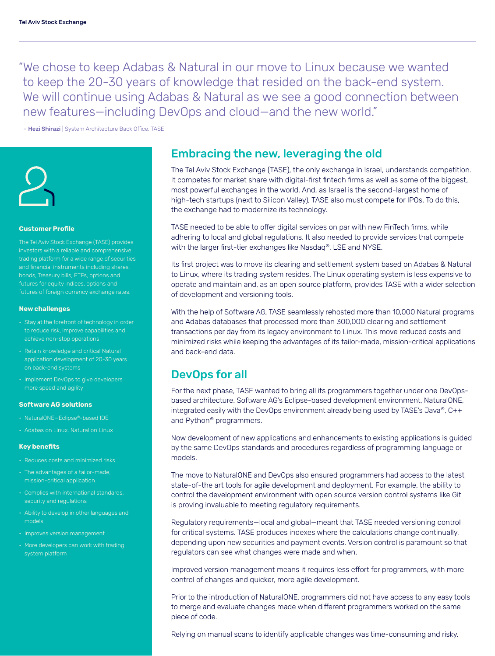"We chose to keep Adabas & Natural in our move to Linux because we wanted to keep the 20-30 years of knowledge that resided on the back-end system. We will continue using Adabas & Natural as we see a good connection between new features—including DevOps and cloud—and the new world."

– Hezi Shirazi | System Architecture Back Office, TASE



#### **Customer Profile**

The Tel Aviv Stock Exchange (TASE) provides investors with a reliable and comprehensive trading platform for a wide range of securities and financial instruments including shares, bonds, Treasury bills, ETFs, options and futures of foreign currency exchange rates.

#### **New challenges**

- Stay at the forefront of technology in order to reduce risk, improve capabilities and achieve non-stop operations
- Retain knowledge and critical Natural
- Implement DevOps to give developers more speed and agility

#### **Software AG solutions**

- NaturalONE—Eclipse®-based IDE
- 

#### **Key benefits**

- 
- The advantages of a tailor-made, mission-critical application
- Complies with international standards, security and regulations
- Ability to develop in other languages and models
- Improves version management
- More developers can work with trading system platform

### Embracing the new, leveraging the old

The Tel Aviv Stock Exchange (TASE), the only exchange in Israel, understands competition. It competes for market share with digital-first fintech firms as well as some of the biggest, most powerful exchanges in the world. And, as Israel is the second-largest home of high-tech startups (next to Silicon Valley), TASE also must compete for IPOs. To do this, the exchange had to modernize its technology.

TASE needed to be able to offer digital services on par with new FinTech firms, while adhering to local and global regulations. It also needed to provide services that compete with the larger first-tier exchanges like Nasdaq®, LSE and NYSE.

Its first project was to move its clearing and settlement system based on Adabas & Natural to Linux, where its trading system resides. The Linux operating system is less expensive to operate and maintain and, as an open source platform, provides TASE with a wider selection of development and versioning tools.

With the help of Software AG, TASE seamlessly rehosted more than 10,000 Natural programs and Adabas databases that processed more than 300,000 clearing and settlement transactions per day from its legacy environment to Linux. This move reduced costs and minimized risks while keeping the advantages of its tailor-made, mission-critical applications and back-end data.

## DevOps for all

For the next phase, TASE wanted to bring all its programmers together under one DevOpsbased architecture. Software AG's Eclipse-based development environment, NaturalONE, integrated easily with the DevOps environment already being used by TASE's Java®, C++ and Python® programmers.

Now development of new applications and enhancements to existing applications is guided by the same DevOps standards and procedures regardless of programming language or models.

The move to NaturalONE and DevOps also ensured programmers had access to the latest state-of-the art tools for agile development and deployment. For example, the ability to control the development environment with open source version control systems like Git is proving invaluable to meeting regulatory requirements.

Regulatory requirements—local and global—meant that TASE needed versioning control for critical systems. TASE produces indexes where the calculations change continually, depending upon new securities and payment events. Version control is paramount so that regulators can see what changes were made and when.

Improved version management means it requires less effort for programmers, with more control of changes and quicker, more agile development.

Prior to the introduction of NaturalONE, programmers did not have access to any easy tools to merge and evaluate changes made when different programmers worked on the same piece of code.

Relying on manual scans to identify applicable changes was time-consuming and risky.